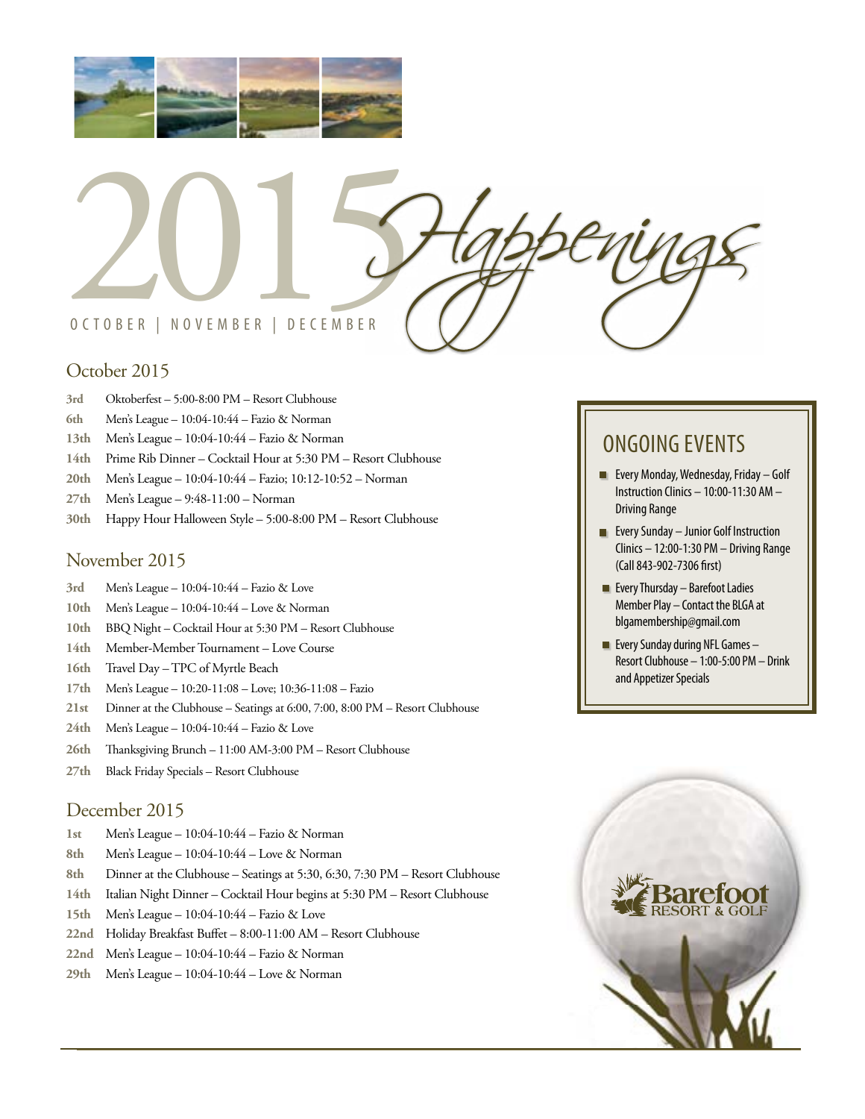



# October 2015

- **3rd** Oktoberfest 5:00-8:00 PM Resort Clubhouse
- **6th** Men's League 10:04-10:44 Fazio & Norman
- **13th** Men's League 10:04-10:44 Fazio & Norman
- **14th** Prime Rib Dinner Cocktail Hour at 5:30 PM Resort Clubhouse
- **20th** Men's League 10:04-10:44 Fazio; 10:12-10:52 Norman
- **27th** Men's League 9:48-11:00 Norman
- **30th** Happy Hour Halloween Style 5:00-8:00 PM Resort Clubhouse

#### November 2015

- **3rd** Men's League 10:04-10:44 Fazio & Love
- **10th** Men's League 10:04-10:44 Love & Norman
- **10th** BBQ Night Cocktail Hour at 5:30 PM Resort Clubhouse
- **14th** Member-Member Tournament Love Course
- **16th** Travel Day TPC of Myrtle Beach
- **17th** Men's League 10:20-11:08 Love; 10:36-11:08 Fazio
- **21st** Dinner at the Clubhouse Seatings at 6:00, 7:00, 8:00 PM Resort Clubhouse
- **24th** Men's League 10:04-10:44 Fazio & Love
- **26th** Thanksgiving Brunch 11:00 AM-3:00 PM Resort Clubhouse
- **27th** Black Friday Specials Resort Clubhouse

### December 2015

- **1st** Men's League 10:04-10:44 Fazio & Norman
- **8th** Men's League 10:04-10:44 Love & Norman
- **8th** Dinner at the Clubhouse Seatings at 5:30, 6:30, 7:30 PM Resort Clubhouse
- **14th** Italian Night Dinner Cocktail Hour begins at 5:30 PM Resort Clubhouse
- **15th** Men's League 10:04-10:44 Fazio & Love
- **22nd** Holiday Breakfast Buffet 8:00-11:00 AM Resort Clubhouse
- **22nd** Men's League 10:04-10:44 Fazio & Norman
- **29th** Men's League 10:04-10:44 Love & Norman

# ONGOING EVENTS

- **EVery Monday, Wednesday, Friday Golf** Instruction Clinics – 10:00-11:30 AM – Driving Range
- **EVERY Sunday Junior Golf Instruction** Clinics – 12:00-1:30 PM – Driving Range (Call 843-902-7306 first)
- $\blacksquare$  Every Thursday Barefoot Ladies Member Play – Contact the BLGA at blgamembership@gmail.com
- **Every Sunday during NFL Games** Resort Clubhouse – 1:00-5:00 PM – Drink and Appetizer Specials